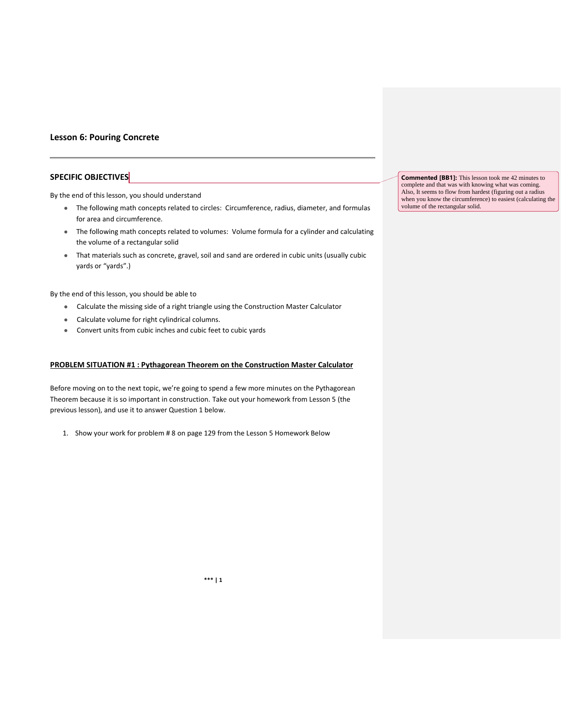#### **Lesson 6: Pouring Concrete**

### **SPECIFIC OBJECTIVES**

By the end of this lesson, you should understand

- The following math concepts related to circles: Circumference, radius, diameter, and formulas for area and circumference.
- The following math concepts related to volumes: Volume formula for a cylinder and calculating the volume of a rectangular solid
- That materials such as concrete, gravel, soil and sand are ordered in cubic units (usually cubic yards or "yards".)

By the end of this lesson, you should be able to

- Calculate the missing side of a right triangle using the Construction Master Calculator
- Calculate volume for right cylindrical columns.
- Convert units from cubic inches and cubic feet to cubic yards

#### **PROBLEM SITUATION #1 : Pythagorean Theorem on the Construction Master Calculator**

Before moving on to the next topic, we're going to spend a few more minutes on the Pythagorean Theorem because it is so important in construction. Take out your homework from Lesson 5 (the previous lesson), and use it to answer Question 1 below.

1. Show your work for problem # 8 on page 129 from the Lesson 5 Homework Below

**Commented [BB1]:** This lesson took me 42 minutes to complete and that was with knowing what was coming. Also, It seems to flow from hardest (figuring out a radius when you know the circumference) to easiest (calculating the volume of the rectangular solid.

**\*\*\* | 1**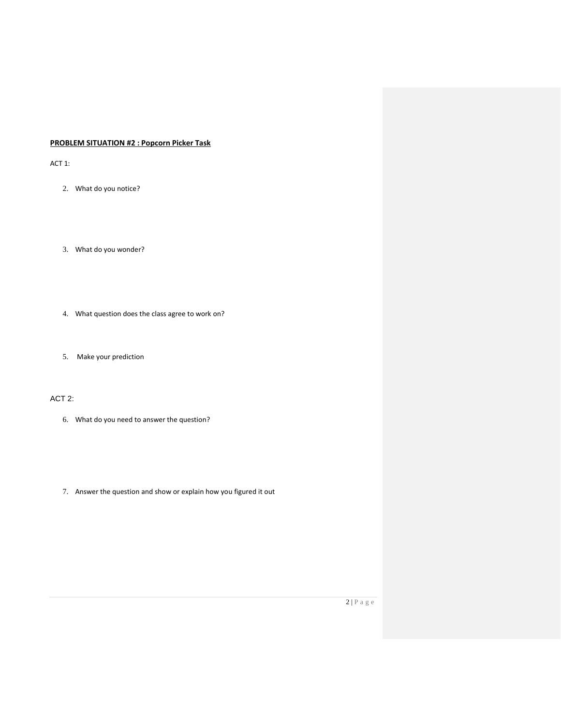# **PROBLEM SITUATION #2 : Popcorn Picker Task**

ACT 1:

- 2. What do you notice?
- 3. What do you wonder?
- 4. What question does the class agree to work on?
- 5. Make your prediction

## ACT 2:

- 6. What do you need to answer the question?
- 7. Answer the question and show or explain how you figured it out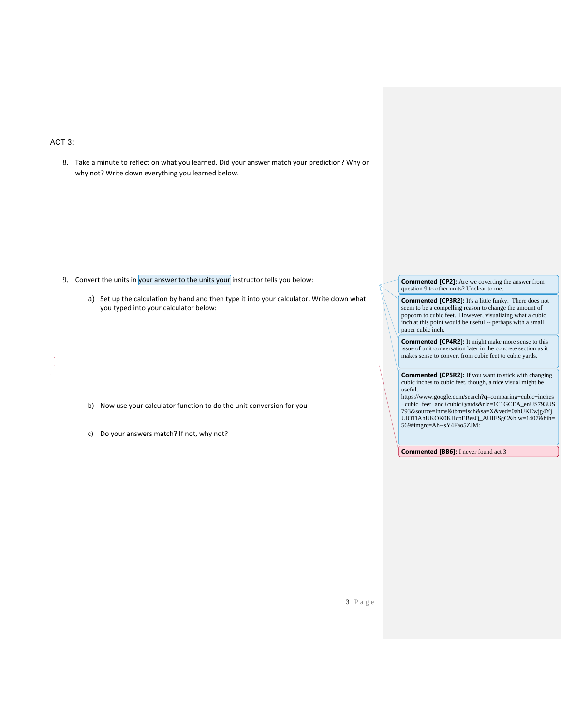# ACT 3:

8. Take a minute to reflect on what you learned. Did your answer match your prediction? Why or why not? Write down everything you learned below.

- 9. Convert the units in your answer to the units your instructor tells you below:
	- a) Set up the calculation by hand and then type it into your calculator. Write down what you typed into your calculator below:

- b) Now use your calculator function to do the unit conversion for you
- c) Do your answers match? If not, why not?

**Commented [CP2]:** Are we coverting the answer from question 9 to other units? Unclear to me.

**Commented [CP3R2]:** It's a little funky. There does not seem to be a compelling reason to change the amount of popcorn to cubic feet. However, visualizing what a cubic inch at this point would be useful -- perhaps with a small paper cubic inch.

**Commented [CP4R2]:** It might make more sense to this issue of unit conversation later in the concrete section as it makes sense to convert from cubic feet to cubic yards.

**Commented [CP5R2]:** If you want to stick with changing cubic inches to cubic feet, though, a nice visual might be useful.

https://www.google.com/search?q=comparing+cubic+inches +cubic+feet+and+cubic+yards&rlz=1C1GCEA\_enUS793US 793&source=lnms&tbm=isch&sa=X&ved=0ahUKEwjg4Yj UlOTiAhUKOK0KHcpEBesQ\_AUIESgC&biw=1407&bih= 569#imgrc=Ah--sY4Fao5ZJM:

**Commented [BB6]:** I never found act 3

 $3 | P a g e$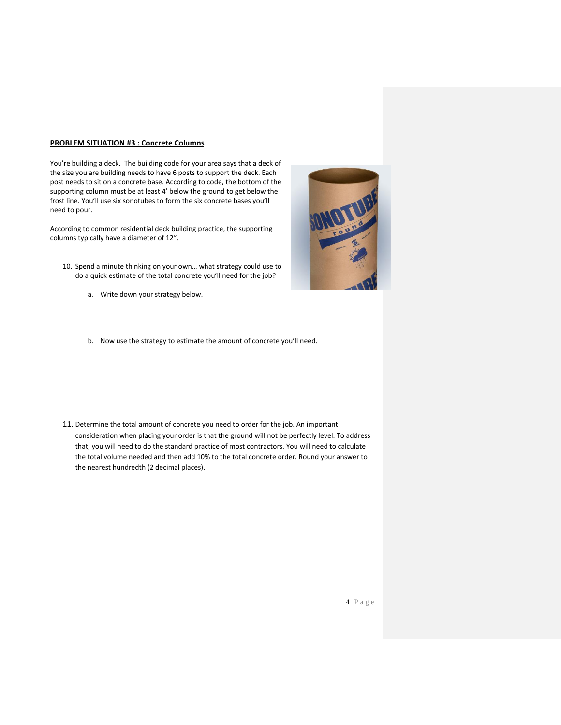#### **PROBLEM SITUATION #3 : Concrete Columns**

You're building a deck. The building code for your area says that a deck of the size you are building needs to have 6 posts to support the deck. Each post needs to sit on a concrete base. According to code, the bottom of the supporting column must be at least 4' below the ground to get below the frost line. You'll use six sonotubes to form the six concrete bases you'll need to pour.

According to common residential deck building practice, the supporting columns typically have a diameter of 12".

- 10. Spend a minute thinking on your own… what strategy could use to do a quick estimate of the total concrete you'll need for the job?
	- a. Write down your strategy below.



b. Now use the strategy to estimate the amount of concrete you'll need.

11. Determine the total amount of concrete you need to order for the job. An important consideration when placing your order is that the ground will not be perfectly level. To address that, you will need to do the standard practice of most contractors. You will need to calculate the total volume needed and then add 10% to the total concrete order. Round your answer to the nearest hundredth (2 decimal places).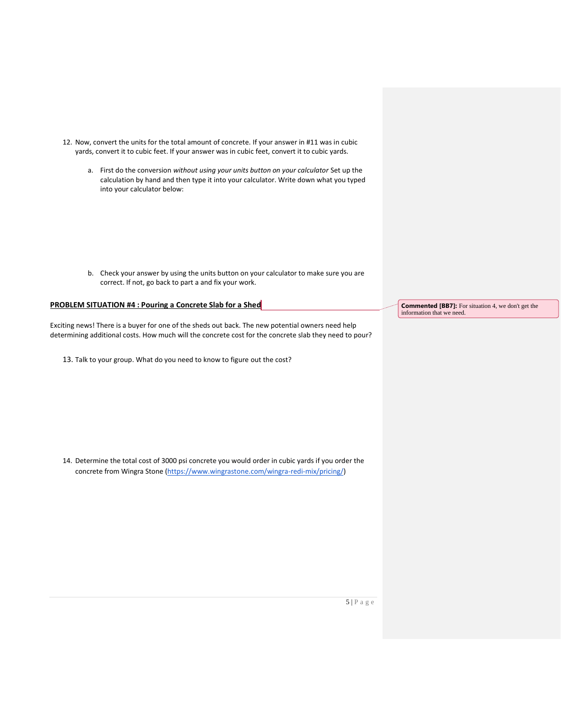- 12. Now, convert the units for the total amount of concrete. If your answer in #11 was in cubic yards, convert it to cubic feet. If your answer was in cubic feet, convert it to cubic yards.
	- a. First do the conversion *without using your units button on your calculator* Set up the calculation by hand and then type it into your calculator. Write down what you typed into your calculator below:

b. Check your answer by using the units button on your calculator to make sure you are correct. If not, go back to part a and fix your work.

## **PROBLEM SITUATION #4 : Pouring a Concrete Slab for a Shed**

Exciting news! There is a buyer for one of the sheds out back. The new potential owners need help determining additional costs. How much will the concrete cost for the concrete slab they need to pour?

13. Talk to your group. What do you need to know to figure out the cost?

14. Determine the total cost of 3000 psi concrete you would order in cubic yards if you order the concrete from Wingra Stone [\(https://www.wingrastone.com/wingra-redi-mix/pricing/\)](https://www.wingrastone.com/wingra-redi-mix/pricing/)

**Commented [BB7]:** For situation 4, we don't get the information that we need.